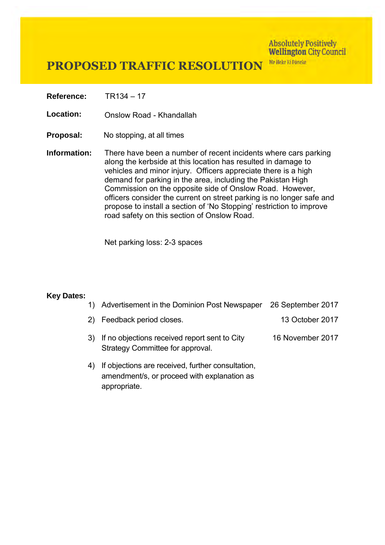**Absolutely Positively Wellington City Council** Me Heke Ki Pôneke

## **PROPOSED TRAFFIC RESOLUTION**

- **Reference:** TR134 17
- **Location:** Onslow Road Khandallah
- **Proposal:** No stopping, at all times
- **Information:** There have been a number of recent incidents where cars parking along the kerbside at this location has resulted in damage to vehicles and minor injury. Officers appreciate there is a high demand for parking in the area, including the Pakistan High Commission on the opposite side of Onslow Road. However, officers consider the current on street parking is no longer safe and propose to install a section of 'No Stopping' restriction to improve road safety on this section of Onslow Road.

Net parking loss: 2-3 spaces

## **Key Dates:**

- 1) Advertisement in the Dominion Post Newspaper 26 September 2017
- 2) Feedback period closes. 13 October 2017
- 3) If no objections received report sent to City Strategy Committee for approval. 16 November 2017
- 4) If objections are received, further consultation, amendment/s, or proceed with explanation as appropriate.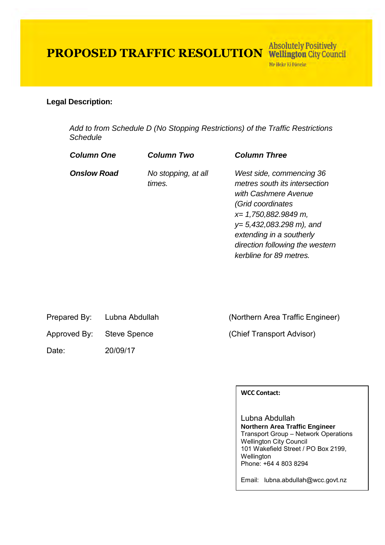**PROPOSED TRAFFIC RESOLUTION** Wellington City Council

**Absolutely Positively** Me Heke Ki Pôneke

## **Legal Description:**

*Add to from Schedule D (No Stopping Restrictions) of the Traffic Restrictions Schedule* 

| <b>Column One</b>  | Column Two                    | <b>Column Three</b>                                                                                                                                                                                                                                     |
|--------------------|-------------------------------|---------------------------------------------------------------------------------------------------------------------------------------------------------------------------------------------------------------------------------------------------------|
| <b>Onslow Road</b> | No stopping, at all<br>times. | West side, commencing 36<br>metres south its intersection<br>with Cashmere Avenue<br>(Grid coordinates<br>$x=$ 1,750,882.9849 m,<br>$y=5,432,083.298$ m), and<br>extending in a southerly<br>direction following the western<br>kerbline for 89 metres. |

| Prepared By: | Lubna Abdullah            | (Northern Area Traffic Engineer) |
|--------------|---------------------------|----------------------------------|
|              | Approved By: Steve Spence | (Chief Transport Advisor)        |

Date: 20/09/17

**WCC Contact:** 

Lubna Abdullah **Northern Area Traffic Engineer** Transport Group – Network Operations Wellington City Council 101 Wakefield Street / PO Box 2199, Wellington Phone: +64 4 803 8294

Email: lubna.abdullah@wcc.govt.nz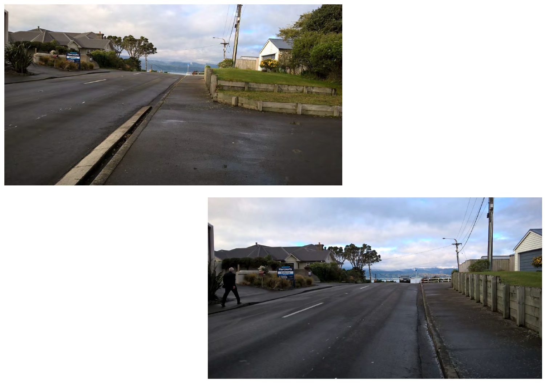

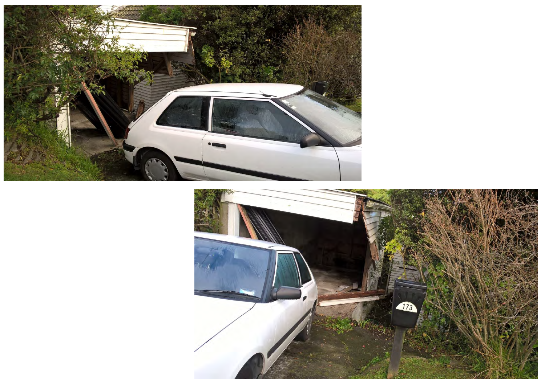